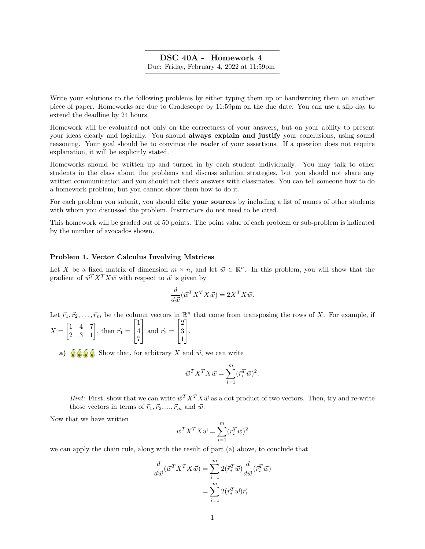# DSC 40A - Homework 4 Due: Friday, February 4, 2022 at 11:59pm

Write your solutions to the following problems by either typing them up or handwriting them on another piece of paper. Homeworks are due to Gradescope by 11:59pm on the due date. You can use a slip day to extend the deadline by 24 hours.

Homework will be evaluated not only on the correctness of your answers, but on your ability to present your ideas clearly and logically. You should always explain and justify your conclusions, using sound reasoning. Your goal should be to convince the reader of your assertions. If a question does not require explanation, it will be explicitly stated.

Homeworks should be written up and turned in by each student individually. You may talk to other students in the class about the problems and discuss solution strategies, but you should not share any written communication and you should not check answers with classmates. You can tell someone how to do a homework problem, but you cannot show them how to do it.

For each problem you submit, you should cite your sources by including a list of names of other students with whom you discussed the problem. Instructors do not need to be cited.

This homework will be graded out of 50 points. The point value of each problem or sub-problem is indicated by the number of avocados shown.

#### Problem 1. Vector Calculus Involving Matrices

Let X be a fixed matrix of dimension  $m \times n$ , and let  $\vec{w} \in \mathbb{R}^n$ . In this problem, you will show that the gradient of  $\vec{w}^T X^T X \vec{w}$  with respect to  $\vec{w}$  is given by

$$
\frac{d}{d\vec{w}}(\vec{w}^T X^T X \vec{w}) = 2X^T X \vec{w}.
$$

Let  $\vec{r}_1, \vec{r}_2, \ldots, \vec{r}_m$  be the column vectors in  $\mathbb{R}^n$  that come from transposing the rows of X. For example, if  $X = \begin{bmatrix} 1 & 4 & 7 \\ 2 & 3 & 1 \end{bmatrix}$ , then  $\vec{r}_1 =$  $\lceil$  $\overline{1}$ 1 4 7 1 and  $\vec{r}_2$  =  $\lceil$  $\overline{\phantom{a}}$ 2 3 1 1  $\vert \cdot$ 

a)  $\bigotimes$   $\bigotimes$  Show that, for arbitrary X and  $\vec{w}$ , we can write

$$
\vec{w}^T X^T X \vec{w} = \sum_{i=1}^m (\vec{r}_i^T \vec{w})^2.
$$

*Hint:* First, show that we can write  $\vec{w}^T X^T X \vec{w}$  as a dot product of two vectors. Then, try and re-write those vectors in terms of  $\vec{r}_1, \vec{r}_2, ..., \vec{r}_m$  and  $\vec{w}$ .

Now that we have written

$$
\vec{w}^T X^T X \vec{w} = \sum_{i=1}^m (\vec{r}_i^T \vec{w})^2
$$

we can apply the chain rule, along with the result of part (a) above, to conclude that

$$
\frac{d}{d\vec{w}}(\vec{w}^T X^T X \vec{w}) = \sum_{i=1}^m 2(\vec{r}_i^T \vec{w}) \frac{d}{d\vec{w}}(\vec{r}_i^T \vec{w})
$$

$$
= \sum_{i=1}^m 2(\vec{r}_i^T \vec{w}) \vec{r}_i
$$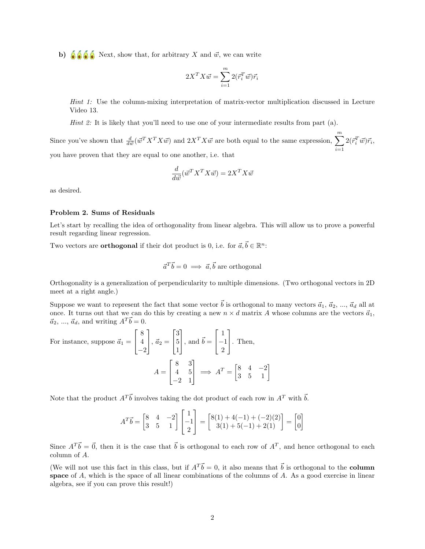b)  $\delta \delta \delta$  Next, show that, for arbitrary X and  $\vec{w}$ , we can write

$$
2X^TX\vec{w}=\sum_{i=1}^m2(\vec{r}_i^T\vec{w})\vec{r}_i
$$

Hint 1: Use the column-mixing interpretation of matrix-vector multiplication discussed in Lecture Video 13.

*Hint 2:* It is likely that you'll need to use one of your intermediate results from part  $(a)$ .

Since you've shown that  $\frac{d}{d\vec{w}}(\vec{w}^T X^T X \vec{w})$  and  $2X^T X \vec{w}$  are both equal to the same expression,  $\sum^m$  $i=1$  $2(\vec{r}_i^T\vec{w})\vec{r}_i,$ you have proven that they are equal to one another, i.e. that

$$
\frac{d}{d\vec{w}}(\vec{w}^T X^T X \vec{w}) = 2X^T X \vec{w}
$$

as desired.

## Problem 2. Sums of Residuals

Let's start by recalling the idea of orthogonality from linear algebra. This will allow us to prove a powerful result regarding linear regression.

Two vectors are **orthogonal** if their dot product is 0, i.e. for  $\vec{a}, \vec{b} \in \mathbb{R}^n$ :

$$
\vec{a}^T \vec{b} = 0 \implies \vec{a}, \vec{b} \text{ are orthogonal}
$$

Orthogonality is a generalization of perpendicularity to multiple dimensions. (Two orthogonal vectors in 2D meet at a right angle.)

Suppose we want to represent the fact that some vector  $\vec{b}$  is orthogonal to many vectors  $\vec{a}_1, \vec{a}_2, ..., \vec{a}_d$  all at once. It turns out that we can do this by creating a new  $n \times d$  matrix A whose columns are the vectors  $\vec{a}_1$ ,  $\vec{a}_2, \dots, \vec{a}_d$ , and writing  $A^T \vec{b} = 0$ .

For instance, suppose 
$$
\vec{a}_1 = \begin{bmatrix} 8 \\ 4 \\ -2 \end{bmatrix}
$$
,  $\vec{a}_2 = \begin{bmatrix} 3 \\ 5 \\ 1 \end{bmatrix}$ , and  $\vec{b} = \begin{bmatrix} 1 \\ -1 \\ 2 \end{bmatrix}$ . Then,  

$$
A = \begin{bmatrix} 8 & 3 \\ 4 & 5 \\ -2 & 1 \end{bmatrix} \implies A^T = \begin{bmatrix} 8 & 4 & -2 \\ 3 & 5 & 1 \end{bmatrix}
$$

Note that the product  $A^T\vec{b}$  involves taking the dot product of each row in  $A^T$  with  $\vec{b}$ .

$$
A^T \vec{b} = \begin{bmatrix} 8 & 4 & -2 \\ 3 & 5 & 1 \end{bmatrix} \begin{bmatrix} 1 \\ -1 \\ 2 \end{bmatrix} = \begin{bmatrix} 8(1) + 4(-1) + (-2)(2) \\ 3(1) + 5(-1) + 2(1) \end{bmatrix} = \begin{bmatrix} 0 \\ 0 \end{bmatrix}
$$

Since  $A^T\vec{b} = \vec{0}$ , then it is the case that  $\vec{b}$  is orthogonal to each row of  $A^T$ , and hence orthogonal to each column of A.

(We will not use this fact in this class, but if  $A^T \vec{b} = 0$ , it also means that  $\vec{b}$  is orthogonal to the **column** space of A, which is the space of all linear combinations of the columns of A. As a good exercise in linear algebra, see if you can prove this result!)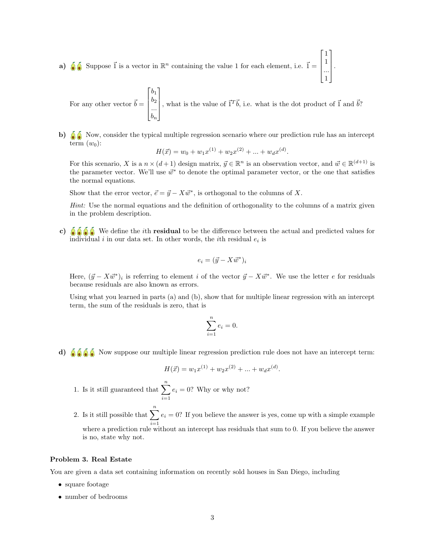a)  $\delta$  Suppose  $\vec{1}$  is a vector in  $\mathbb{R}^n$  containing the value 1 for each element, i.e.  $\vec{1} =$  $\lceil$ 1 1  $\begin{matrix} 1 \\ \ldots \\ 1 \end{matrix}$ 1 1

For any other vector 
$$
\vec{b} = \begin{bmatrix} b_1 \\ b_2 \\ \dots \\ b_n \end{bmatrix}
$$
, what is the value of  $\vec{1}^T \vec{b}$ , i.e. what is the dot product of  $\vec{1}$  and  $\vec{b}$ ?

.

b)  $\delta$  Now, consider the typical multiple regression scenario where our prediction rule has an intercept term  $(w_0)$ :

$$
H(\vec{x}) = w_0 + w_1 x^{(1)} + w_2 x^{(2)} + \dots + w_d x^{(d)}.
$$

For this scenario, X is a  $n \times (d+1)$  design matrix,  $\vec{y} \in \mathbb{R}^n$  is an observation vector, and  $\vec{w} \in \mathbb{R}^{(d+1)}$  is the parameter vector. We'll use  $\vec{w}^*$  to denote the optimal parameter vector, or the one that satisfies the normal equations.

Show that the error vector,  $\vec{e} = \vec{y} - X\vec{w}^*$ , is orthogonal to the columns of X.

Hint: Use the normal equations and the definition of orthogonality to the columns of a matrix given in the problem description.

c)  $\delta$   $\delta$   $\delta$   $\delta$  We define the *i*th **residual** to be the difference between the actual and predicted values for individual *i* in our data set. In other words, the *i*<sup>th</sup> residual  $e_i$  is

$$
e_i = (\vec{y} - X\vec{w}^*)_i
$$

Here,  $(\vec{y} - X\vec{w}^*)_i$  is referring to element i of the vector  $\vec{y} - X\vec{w}^*$ . We use the letter e for residuals because residuals are also known as errors.

Using what you learned in parts (a) and (b), show that for multiple linear regression with an intercept term, the sum of the residuals is zero, that is

$$
\sum_{i=1}^{n} e_i = 0.
$$

d)  $\delta \delta \delta$  Now suppose our multiple linear regression prediction rule does not have an intercept term:

$$
H(\vec{x}) = w_1 x^{(1)} + w_2 x^{(2)} + \dots + w_d x^{(d)}.
$$

- 1. Is it still guaranteed that  $\sum_{n=1}^n$  $i=1$  $e_i = 0$ ? Why or why not?
- 2. Is it still possible that  $\sum_{n=1}^n$  $i=1$  $e_i = 0$ ? If you believe the answer is yes, come up with a simple example where a prediction rule without an intercept has residuals that sum to 0. If you believe the answer is no, state why not.

### Problem 3. Real Estate

You are given a data set containing information on recently sold houses in San Diego, including

- square footage
- number of bedrooms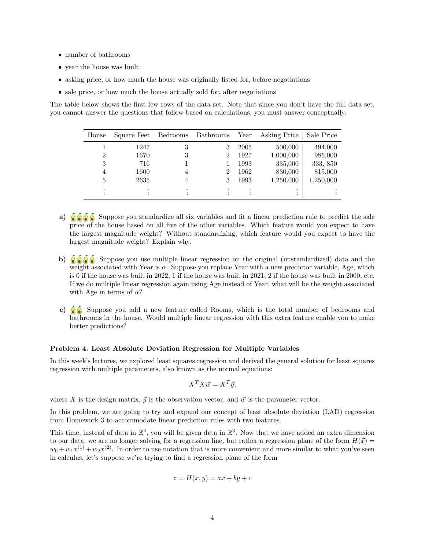- number of bathrooms
- year the house was built
- asking price, or how much the house was originally listed for, before negotiations
- sale price, or how much the house actually sold for, after negotiations

The table below shows the first few rows of the data set. Note that since you don't have the full data set, you cannot answer the questions that follow based on calculations; you must answer conceptually.

| House                       | Square Feet | Bedrooms     | Bathrooms | Year | Asking Price | Sale Price |
|-----------------------------|-------------|--------------|-----------|------|--------------|------------|
|                             | 1247        | 3            | 3         | 2005 | 500,000      | 494,000    |
| $\overline{2}$              | 1670        | 3            | 2         | 1927 | 1,000,000    | 985,000    |
| 3                           | 716         |              |           | 1993 | 335,000      | 333, 850   |
| $\overline{4}$              | 1600        | 4            | 2         | 1962 | 830,000      | 815,000    |
| 5                           | 2635        | 4            | 3         | 1993 | 1,250,000    | 1,250,000  |
| $\bullet$<br>٠<br>$\bullet$ |             | $\cdot$<br>٠ | ٠<br>٠    |      | ٠<br>٠<br>٠  |            |

- a)  $\delta$   $\delta$   $\delta$  Suppose you standardize all six variables and fit a linear prediction rule to predict the sale price of the house based on all five of the other variables. Which feature would you expect to have the largest magnitude weight? Without standardizing, which feature would you expect to have the largest magnitude weight? Explain why.
- b)  $\delta \delta \delta$  Suppose you use multiple linear regression on the original (unstandardized) data and the weight associated with Year is  $\alpha$ . Suppose you replace Year with a new predictor variable, Age, which is 0 if the house was built in 2022, 1 if the house was built in 2021, 2 if the house was built in 2000, etc. If we do multiple linear regression again using Age instead of Year, what will be the weight associated with Age in terms of  $\alpha$ ?
- c)  $\delta$  Suppose you add a new feature called Rooms, which is the total number of bedrooms and bathrooms in the house. Would multiple linear regression with this extra feature enable you to make better predictions?

#### Problem 4. Least Absolute Deviation Regression for Multiple Variables

In this week's lectures, we explored least squares regression and derived the general solution for least squares regression with multiple parameters, also known as the normal equations:

$$
X^T X \vec{w} = X^T \vec{y},
$$

where X is the design matrix,  $\vec{y}$  is the observation vector, and  $\vec{w}$  is the parameter vector.

In this problem, we are going to try and expand our concept of least absolute deviation (LAD) regression from Homework 3 to accommodate linear prediction rules with two features.

This time, instead of data in  $\mathbb{R}^2$ , you will be given data in  $\mathbb{R}^3$ . Now that we have added an extra dimension to our data, we are no longer solving for a regression line, but rather a regression plane of the form  $H(\vec{x}) =$  $w_0 + w_1x^{(1)} + w_2x^{(2)}$ . In order to use notation that is more convenient and more similar to what you've seen in calculus, let's suppose we're trying to find a regression plane of the form

$$
z = H(x, y) = ax + by + c
$$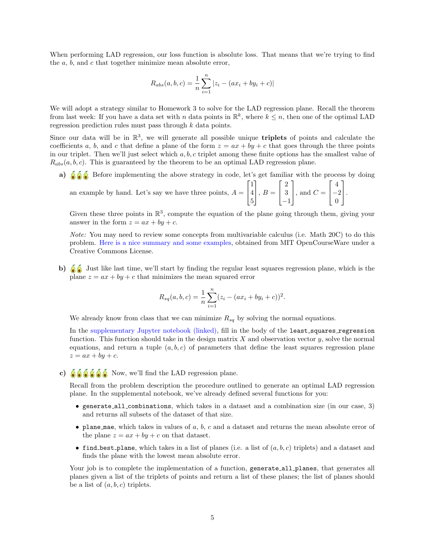When performing LAD regression, our loss function is absolute loss. That means that we're trying to find the a, b, and c that together minimize mean absolute error,

$$
R_{abs}(a, b, c) = \frac{1}{n} \sum_{i=1}^{n} |z_i - (ax_i + by_i + c)|
$$

We will adopt a strategy similar to Homework 3 to solve for the LAD regression plane. Recall the theorem from last week: If you have a data set with n data points in  $\mathbb{R}^k$ , where  $k \leq n$ , then one of the optimal LAD regression prediction rules must pass through k data points.

Since our data will be in  $\mathbb{R}^3$ , we will generate all possible unique **triplets** of points and calculate the coefficients a, b, and c that define a plane of the form  $z = ax + by + c$  that goes through the three points in our triplet. Then we'll just select which  $a, b, c$  triplet among these finite options has the smallest value of  $R_{abs}(a, b, c)$ . This is guaranteed by the theorem to be an optimal LAD regression plane.

a)  $\delta$   $\delta$  Before implementing the above strategy in code, let's get familiar with the process by doing

an example by hand. Let's say we have three points,  $A =$  $\lceil$  $\overline{1}$ 1 4 5 1  $\Big\vert$ ,  $B=$  $\lceil$  $\overline{1}$ 2 3 −1 1  $\Big\}$ , and  $C =$  $\sqrt{ }$  $\overline{1}$ 4 −2 0 1  $\vert \cdot$ 

Given these three points in  $\mathbb{R}^3$ , compute the equation of the plane going through them, giving your answer in the form  $z = ax + by + c$ .

Note: You may need to review some concepts from multivariable calculus (i.e. Math 20C) to do this problem. [Here is a nice summary and some examples,](https://ocw.mit.edu/courses/mathematics/18-02sc-multivariable-calculus-fall-2010/1.-vectors-and-matrices/part-b-matrices-and-systems-of-equations/session-12-equations-of-planes-ii/MIT18_02SC_notes_5.pdf) obtained from MIT OpenCourseWare under a Creative Commons License.

b)  $\delta$  Just like last time, we'll start by finding the regular least squares regression plane, which is the plane  $z = ax + by + c$  that minimizes the mean squared error

$$
R_{sq}(a, b, c) = \frac{1}{n} \sum_{i=1}^{n} (z_i - (ax_i + by_i + c))^2.
$$

We already know from class that we can minimize  $R_{sq}$  by solving the normal equations.

In the [supplementary Jupyter notebook \(linked\),](http://datahub.ucsd.edu/user-redirect/git-sync?repo=https://github.com/dsc-courses/dsc40a-2022-wi&subPath=resources/homework/hw4/hw4code.ipynb) fill in the body of the least squares regression function. This function should take in the design matrix  $X$  and observation vector  $y$ , solve the normal equations, and return a tuple  $(a, b, c)$  of parameters that define the least squares regression plane  $z = ax + by + c.$ 

c)  $\delta \delta \delta \delta \delta$  Now, we'll find the LAD regression plane.

Recall from the problem description the procedure outlined to generate an optimal LAD regression plane. In the supplemental notebook, we've already defined several functions for you:

- generate all combinations, which takes in a dataset and a combination size (in our case, 3) and returns all subsets of the dataset of that size.
- plane mae, which takes in values of  $a, b, c$  and a dataset and returns the mean absolute error of the plane  $z = ax + by + c$  on that dataset.
- find best plane, which takes in a list of planes (i.e. a list of  $(a, b, c)$  triplets) and a dataset and finds the plane with the lowest mean absolute error.

Your job is to complete the implementation of a function, generate all planes, that generates all planes given a list of the triplets of points and return a list of these planes; the list of planes should be a list of  $(a, b, c)$  triplets.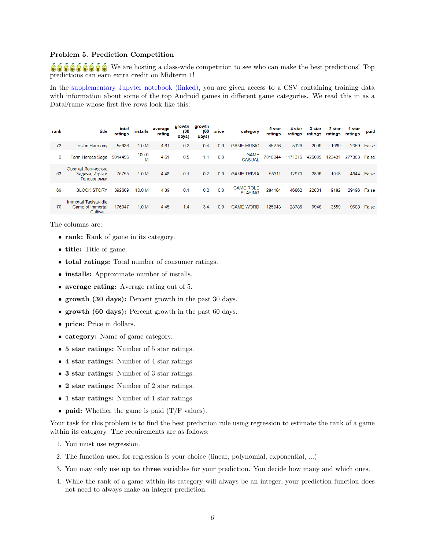### Problem 5. Prediction Competition

 $\delta \delta \delta \delta \delta \delta \delta \delta$ . We are hosting a class-wide competition to see who can make the best predictions! Top predictions can earn extra credit on Midterm 1!

In the [supplementary Jupyter notebook \(linked\),](http://datahub.ucsd.edu/user-redirect/git-sync?repo=https://github.com/dsc-courses/dsc40a-2022-wi&subPath=resources/homework/hw4/hw4code.ipynb) you are given access to a CSV containing training data with information about some of the top Android games in different game categories. We read this in as a DataFrame whose first five rows look like this:

| rank | title                                                | total<br>ratings | <b>installs</b>  | average<br>rating | growth<br>(30)<br>days) | growth<br>(60<br>days) | price | category                           | 5 star<br>ratings | 4 star<br>ratings | 3 star<br>ratings | 2 star<br>ratings | 1 star<br>ratings | paid  |
|------|------------------------------------------------------|------------------|------------------|-------------------|-------------------------|------------------------|-------|------------------------------------|-------------------|-------------------|-------------------|-------------------|-------------------|-------|
| 72   | Lost in Harmony                                      | 55936            | 1.0 <sub>M</sub> | 4.61              | 0.2                     | 0.4                    | 0.0   | <b>GAME MUSIC</b>                  | 45276             | 5129              | 2099              | 1069              | 2359              | False |
| 9    | Farm Heroes Saga                                     | 9014495          | 100.0<br>M       | 4.61              | 0.5                     | 1.1                    | 0.0   | <b>GAME</b><br><b>CASUAL</b>       | 7016344           | 1171316           | 426099            | 123431            | 277303            | False |
| 63   | Эврика! Логические<br>Задачи. Игры и<br>Головоломки  | 76755            | 1.0 M            | 4.48              | 0.1                     | 0.2                    | 0.0   | <b>GAME TRIVIA</b>                 | 55311             | 12973             | 2806              | 1018              | 4644              | False |
| 69   | <b>BLOCK STORY</b>                                   | 392609           | 10.0 M           | 4.39              | 0.1                     | 0.2                    | 0.0   | <b>GAME ROLE</b><br><b>PLAYING</b> | 284184            | 46862             | 22881             | 9182              | 29496             | False |
| 70   | Immortal Taoists-Idle<br>Game of Immortal<br>Cultiva | 176947           | 1.0 <sub>M</sub> | 4.45              | 1.4                     | 3.4                    | 0.0   | <b>GAME WORD</b>                   | 125043            | 28786             | 9948              | 3559              | 9608              | False |

The columns are:

- rank: Rank of game in its category.
- title: Title of game.
- total ratings: Total number of consumer ratings.
- installs: Approximate number of installs.
- average rating: Average rating out of 5.
- growth (30 days): Percent growth in the past 30 days.
- growth (60 days): Percent growth in the past 60 days.
- price: Price in dollars.
- category: Name of game category.
- 5 star ratings: Number of 5 star ratings.
- 4 star ratings: Number of 4 star ratings.
- 3 star ratings: Number of 3 star ratings.
- 2 star ratings: Number of 2 star ratings.
- 1 star ratings: Number of 1 star ratings.
- paid: Whether the game is paid  $(T/F$  values).

Your task for this problem is to find the best prediction rule using regression to estimate the rank of a game within its category. The requirements are as follows:

- 1. You must use regression.
- 2. The function used for regression is your choice (linear, polynomial, exponential, ...)
- 3. You may only use up to three variables for your prediction. You decide how many and which ones.
- 4. While the rank of a game within its category will always be an integer, your prediction function does not need to always make an integer prediction.